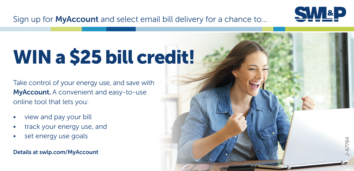

J-67784

Sign up for **MyAccount** and select email bill delivery for a chance to...

## WIN a \$25 bill credit!

Take control of your energy use, and save with MyAccount. A convenient and easy-to-use online tool that lets you:

- 
- view and pay your bill<br>track your energy use, and
- set energy use goals

Details at swlp.com/MyAccount